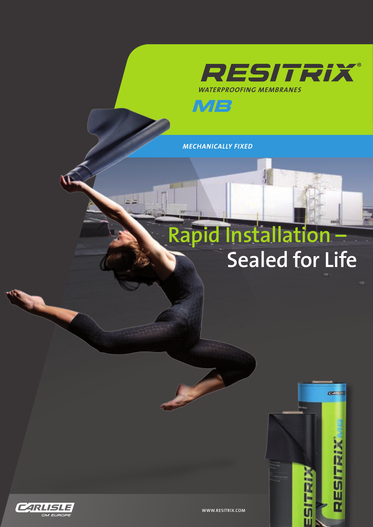



*MECHANICALLY FIXED*

## **Rapid Installation – Sealed for Life**

**CERTIFICATE** 

RESITRIX



**WWW.RESITRIX.COM**